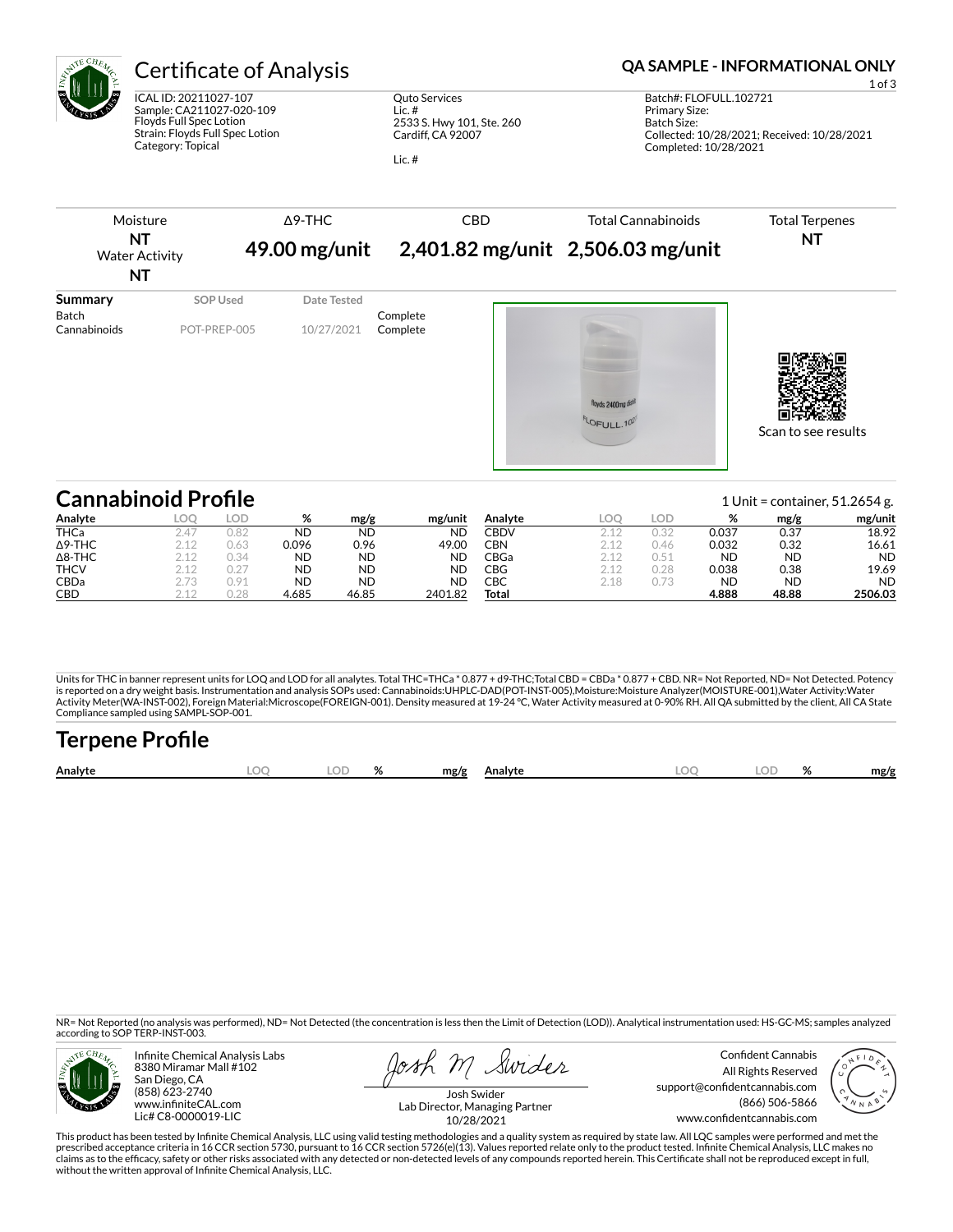

THCV 2.12 0.27 ND ND ND CBDa 2.73 0.91 ND ND ND CBD 2.12 0.28 4.685 46.85 2401.82

ICAL ID: 20211027-107 Sample: CA211027-020-109 Floyds Full Spec Lotion Strain: Floyds Full Spec Lotion Category: Topical

Quto Services Lic. # 2533 S. Hwy 101, Ste. 260 Cardiff, CA 92007

Lic. #

### Certificate of Analysis **Certificate of Analysis QA SAMPLE - INFORMATIONAL ONLY**

Batch#: FLOFULL.102721 Primary Size: Batch Size: Collected: 10/28/2021; Received: 10/28/2021 Completed: 10/28/2021



Units for THC in banner represent units for LOQ and LOD for all analytes. Total THC=THCa \* 0.877 + d9-THC;Total CBD = CBDa \* 0.877 + CBD. NR= Not Reported, ND= Not Detected. Potency<br>is reported on a dry weight basis. Instr Activity Meter(WA-INST-002), Foreign Material:Microscope(FOREIGN-001). Density measured at 19-24 °C, Water Activity measured at 0-90% RH. All QA submitted by the client, All CA State Compliance sampled using SAMPL-SOP-001.

| <b>Terpene Profile</b> |  |          |      |         |  |  |      |
|------------------------|--|----------|------|---------|--|--|------|
| Analyte                |  | $\alpha$ | mg/g | Analvte |  |  | mg/g |

NR= Not Reported (no analysis was performed), ND= Not Detected (the concentration is less then the Limit of Detection (LOD)). Analytical instrumentation used: HS-GC-MS; samples analyzed according to SOP TERP-INST-003.



Infinite Chemical Analysis Labs 8380 Miramar Mall #102 San Diego, CA (858) 623-2740 www.infiniteCAL.com Lic# C8-0000019-LIC

Swider osh m

Confident Cannabis All Rights Reserved support@confidentcannabis.com (866) 506-5866 www.confidentcannabis.com

CBG 2.12 0.28 0.038 0.38 19.69 CBC 2.18 0.73 ND ND ND **Total 4.888 48.88 2506.03**



Josh Swider Lab Director, Managing Partner 10/28/2021

This product has been tested by Infinite Chemical Analysis, LLC using valid testing methodologies and a quality system as required by state law. All LQC samples were performed and met the prescribed acceptance criteria in 16 CCR section 5730, pursuant to 16 CCR section 5726(e)(13). Values reported relate only to the product tested. Infinite Chemical Analysis, LLC makes no<br>claims as to the efficacy, safety o without the written approval of Infinite Chemical Analysis, LLC.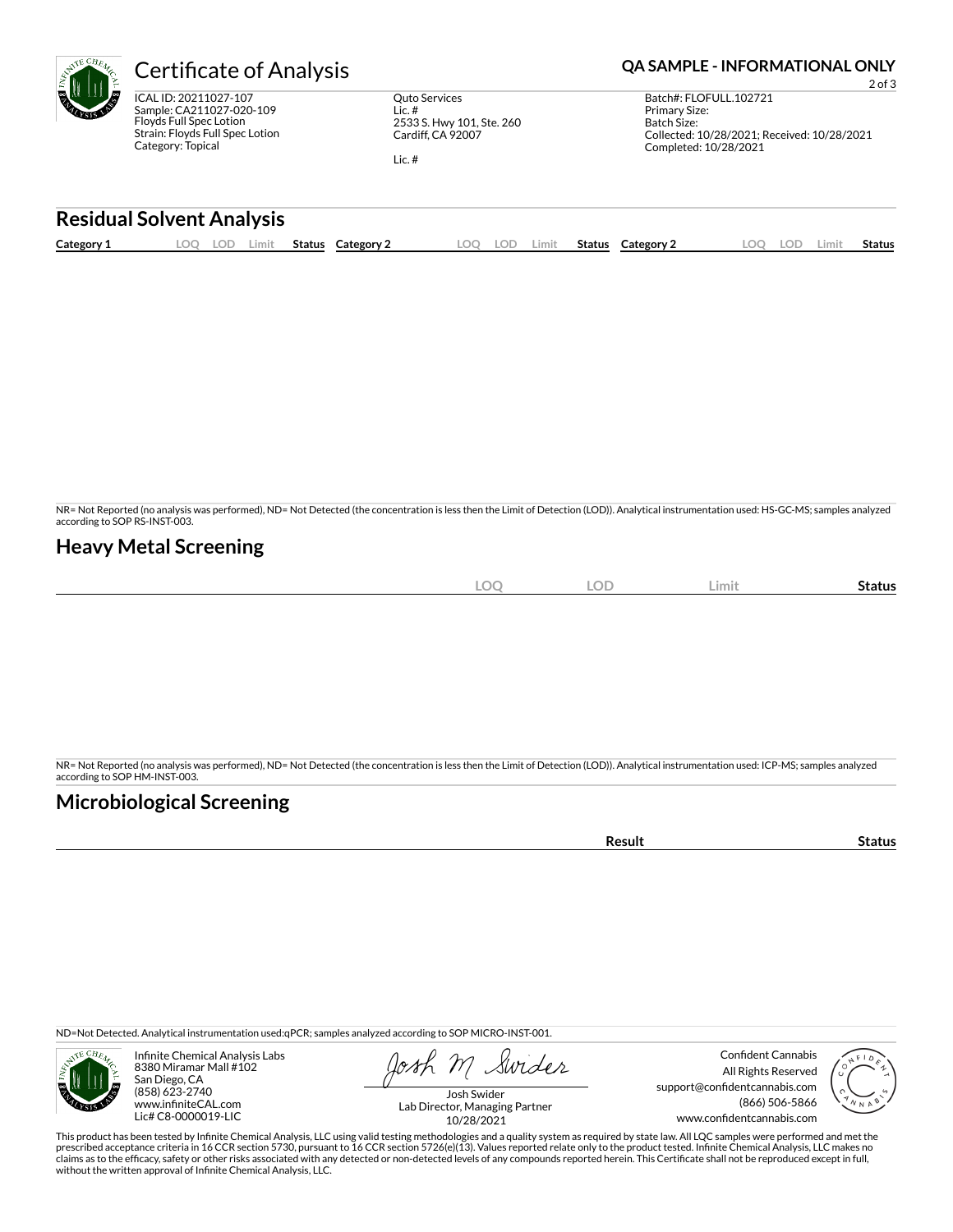# **Certificate of Analysis <b>Certificate of Analysis QA SAMPLE - INFORMATIONAL ONLY**

ICAL ID: 20211027-107 Sample: CA211027-020-109 Floyds Full Spec Lotion Strain: Floyds Full Spec Lotion Category: Topical

Quto Services Lic. # 2533 S. Hwy 101, Ste. 260 Cardiff, CA 92007

Lic. #

2 of 3 Batch#: FLOFULL.102721 Primary Size: Batch Size: Collected: 10/28/2021; Received: 10/28/2021 Completed: 10/28/2021

#### **Residual Solvent Analysis**

| Category 1 | ΩC<br>. <i>.</i> | Limit<br>ا ت | <b>Status</b> | Category | LOC | - - | Limit. | Status | Category 2 | LOD. | ∟imi† | status |
|------------|------------------|--------------|---------------|----------|-----|-----|--------|--------|------------|------|-------|--------|
|            |                  |              |               |          |     |     |        |        |            |      |       |        |

NR= Not Reported (no analysis was performed), ND= Not Detected (the concentration is less then the Limit of Detection (LOD)). Analytical instrumentation used: HS-GC-MS; samples analyzed according to SOP RS-INST-003.

### **Heavy Metal Screening**

| and all of<br>эc<br>∽<br>$\tilde{}$ | <b>LOD</b> | Limit | -<br>Status |
|-------------------------------------|------------|-------|-------------|
|                                     |            |       |             |

NR= Not Reported (no analysis was performed), ND= Not Detected (the concentration is less then the Limit of Detection (LOD)). Analytical instrumentation used: ICP-MS; samples analyzed according to SOP HM-INST-003.

### **Microbiological Screening**

**Result Status** 

ND=Not Detected. Analytical instrumentation used:qPCR; samples analyzed according to SOP MICRO-INST-001.



Infinite Chemical Analysis Labs 8380 Miramar Mall #102 San Diego, CA (858) 623-2740 www.infiniteCAL.com Lic# C8-0000019-LIC

Swider

Confident Cannabis All Rights Reserved support@confidentcannabis.com (866) 506-5866 www.confidentcannabis.com



Josh Swider Lab Director, Managing Partner 10/28/2021

This product has been tested by Infinite Chemical Analysis, LLC using valid testing methodologies and a quality system as required by state law. All LQC samples were performed and met the prescribed acceptance criteria in 16 CCR section 5730, pursuant to 16 CCR section 5726(e)(13). Values reported relate only to the product tested. Infinite Chemical Analysis, LLC makes no<br>claims as to the efficacy, safety o without the written approval of Infinite Chemical Analysis, LLC.